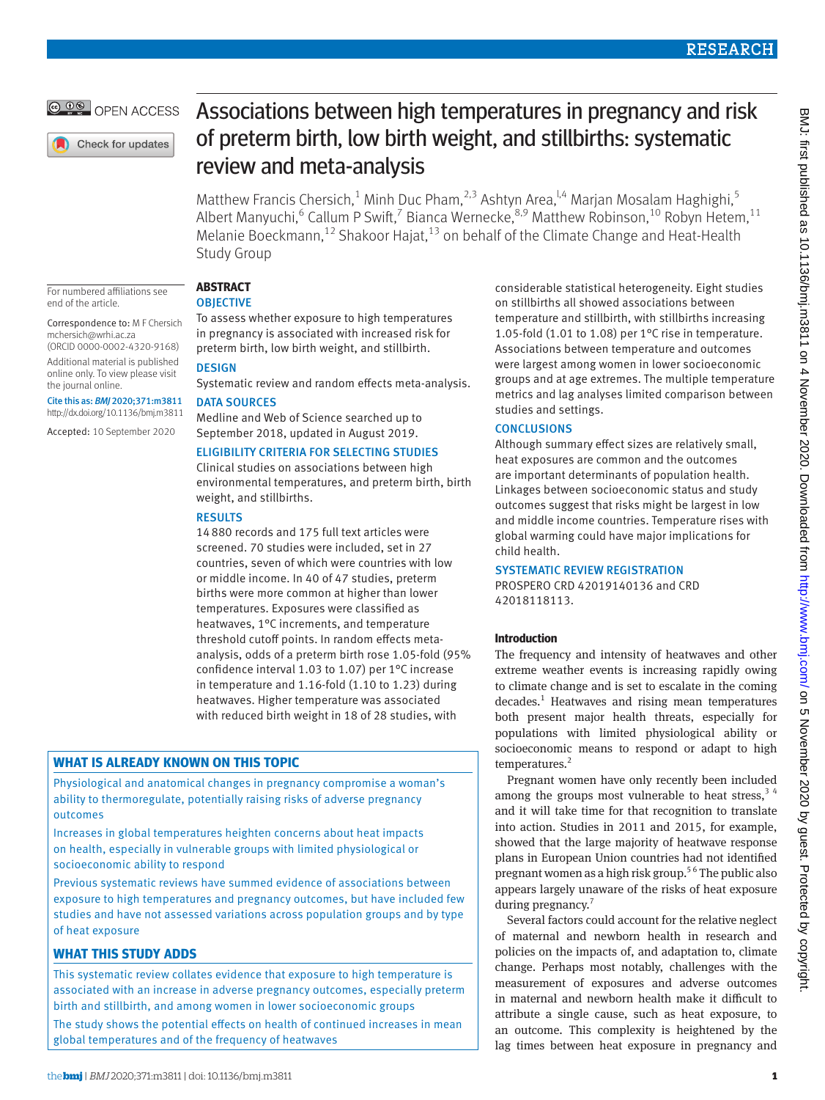# **@ 00 OPEN ACCESS**

Check for updates

# Associations between high temperatures in pregnancy and risk of preterm birth, low birth weight, and stillbirths: systematic review and meta-analysis

Matthew Francis Chersich,<sup>1</sup> Minh Duc Pham,<sup>2,3</sup> Ashtyn Area,<sup>l,4</sup> Marjan Mosalam Haghighi,<sup>5</sup> Albert Manyuchi,<sup>6</sup> Callum P Swift,<sup>7</sup> Bianca Wernecke,<sup>8,9</sup> Matthew Robinson,<sup>10</sup> Robyn Hetem,<sup>11</sup> Melanie Boeckmann,<sup>12</sup> Shakoor Hajat,<sup>13</sup> on behalf of the Climate Change and Heat-Health Study Group

For numbered affiliations see end of the article.

Correspondence to: M F Chersich [mchersich@wrhi.ac.za](mailto:mchersich@wrhi.ac.za) (ORCID [0000-0002-4320-9168](http://orcid.org/0000-0002-4320-9168)) Additional material is published online only. To view please visit the journal online.

Cite this as: *BMJ* 2020;371:m3811 http://dx.doi.org/10.1136/bmj.m3811

Accepted: 10 September 2020

# **ABSTRACT**

## **OBJECTIVE**

To assess whether exposure to high temperatures in pregnancy is associated with increased risk for preterm birth, low birth weight, and stillbirth. **DESIGN** 

Systematic review and random effects meta-analysis.

## DATA SOURCES

Medline and Web of Science searched up to September 2018, updated in August 2019.

# ELIGIBILITY CRITERIA FOR SELECTING STUDIES

Clinical studies on associations between high environmental temperatures, and preterm birth, birth weight, and stillbirths.

## RESULTS

14880 records and 175 full text articles were screened. 70 studies were included, set in 27 countries, seven of which were countries with low or middle income. In 40 of 47 studies, preterm births were more common at higher than lower temperatures. Exposures were classified as heatwaves, 1°C increments, and temperature threshold cutoff points. In random effects metaanalysis, odds of a preterm birth rose 1.05-fold (95% confidence interval 1.03 to 1.07) per 1°C increase in temperature and 1.16-fold (1.10 to 1.23) during heatwaves. Higher temperature was associated with reduced birth weight in 18 of 28 studies, with

# **WHAT IS ALREADY KNOWN ON THIS TOPIC**

Physiological and anatomical changes in pregnancy compromise a woman's ability to thermoregulate, potentially raising risks of adverse pregnancy outcomes

Increases in global temperatures heighten concerns about heat impacts on health, especially in vulnerable groups with limited physiological or socioeconomic ability to respond

Previous systematic reviews have summed evidence of associations between exposure to high temperatures and pregnancy outcomes, but have included few studies and have not assessed variations across population groups and by type of heat exposure

# **WHAT THIS STUDY ADDS**

This systematic review collates evidence that exposure to high temperature is associated with an increase in adverse pregnancy outcomes, especially preterm birth and stillbirth, and among women in lower socioeconomic groups The study shows the potential effects on health of continued increases in mean global temperatures and of the frequency of heatwaves

considerable statistical heterogeneity. Eight studies on stillbirths all showed associations between temperature and stillbirth, with stillbirths increasing 1.05-fold (1.01 to 1.08) per 1°C rise in temperature. Associations between temperature and outcomes were largest among women in lower socioeconomic groups and at age extremes. The multiple temperature metrics and lag analyses limited comparison between studies and settings.

# **CONCLUSIONS**

Although summary effect sizes are relatively small, heat exposures are common and the outcomes are important determinants of population health. Linkages between socioeconomic status and study outcomes suggest that risks might be largest in low and middle income countries. Temperature rises with global warming could have major implications for child health.

# SYSTEMATIC REVIEW REGISTRATION

PROSPERO CRD 42019140136 and CRD 42018118113.

# **Introduction**

The frequency and intensity of heatwaves and other extreme weather events is increasing rapidly owing to climate change and is set to escalate in the coming decades.<sup>1</sup> Heatwaves and rising mean temperatures both present major health threats, especially for populations with limited physiological ability or socioeconomic means to respond or adapt to high temperatures.<sup>2</sup>

Pregnant women have only recently been included among the groups most vulnerable to heat stress,  $3<sup>3</sup>$ and it will take time for that recognition to translate into action. Studies in 2011 and 2015, for example, showed that the large majority of heatwave response plans in European Union countries had not identified pregnant women as a high risk group.<sup>56</sup> The public also appears largely unaware of the risks of heat exposure during pregnancy. $7$ 

Several factors could account for the relative neglect of maternal and newborn health in research and policies on the impacts of, and adaptation to, climate change. Perhaps most notably, challenges with the measurement of exposures and adverse outcomes in maternal and newborn health make it difficult to attribute a single cause, such as heat exposure, to an outcome. This complexity is heightened by the lag times between heat exposure in pregnancy and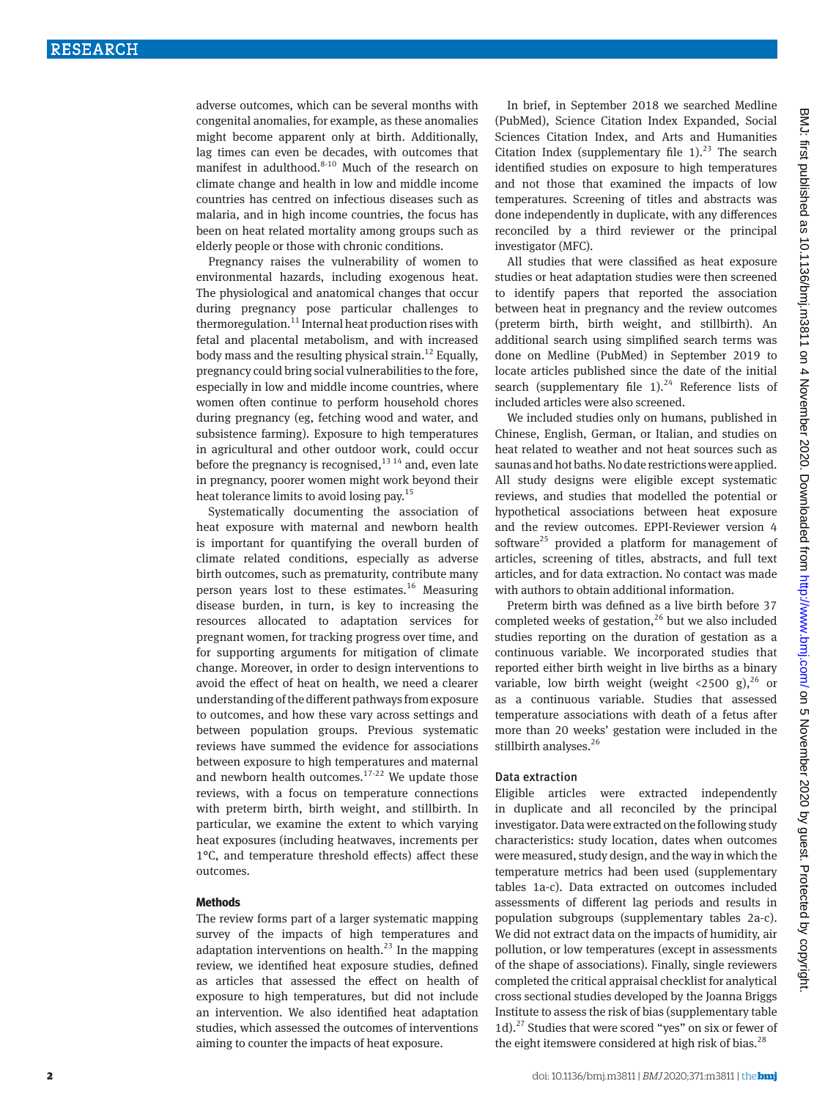adverse outcomes, which can be several months with congenital anomalies, for example, as these anomalies might become apparent only at birth. Additionally, lag times can even be decades, with outcomes that manifest in adulthood.<sup>8-10</sup> Much of the research on climate change and health in low and middle income countries has centred on infectious diseases such as malaria, and in high income countries, the focus has been on heat related mortality among groups such as elderly people or those with chronic conditions.

Pregnancy raises the vulnerability of women to environmental hazards, including exogenous heat. The physiological and anatomical changes that occur during pregnancy pose particular challenges to thermoregulation. $11$  Internal heat production rises with fetal and placental metabolism, and with increased body mass and the resulting physical strain.<sup>12</sup> Equally, pregnancy could bring social vulnerabilities to the fore, especially in low and middle income countries, where women often continue to perform household chores during pregnancy (eg, fetching wood and water, and subsistence farming). Exposure to high temperatures in agricultural and other outdoor work, could occur before the pregnancy is recognised,  $13^{14}$  and, even late in pregnancy, poorer women might work beyond their heat tolerance limits to avoid losing pay.<sup>15</sup>

Systematically documenting the association of heat exposure with maternal and newborn health is important for quantifying the overall burden of climate related conditions, especially as adverse birth outcomes, such as prematurity, contribute many person years lost to these estimates.<sup>16</sup> Measuring disease burden, in turn, is key to increasing the resources allocated to adaptation services for pregnant women, for tracking progress over time, and for supporting arguments for mitigation of climate change. Moreover, in order to design interventions to avoid the effect of heat on health, we need a clearer understanding of the different pathways from exposure to outcomes, and how these vary across settings and between population groups. Previous systematic reviews have summed the evidence for associations between exposure to high temperatures and maternal and newborn health outcomes.<sup>17-22</sup> We update those reviews, with a focus on temperature connections with preterm birth, birth weight, and stillbirth. In particular, we examine the extent to which varying heat exposures (including heatwaves, increments per 1°C, and temperature threshold effects) affect these outcomes.

#### **Methods**

The review forms part of a larger systematic mapping survey of the impacts of high temperatures and adaptation interventions on health. $^{23}$  In the mapping review, we identified heat exposure studies, defined as articles that assessed the effect on health of exposure to high temperatures, but did not include an intervention. We also identified heat adaptation studies, which assessed the outcomes of interventions aiming to counter the impacts of heat exposure.

In brief, in September 2018 we searched Medline (PubMed), Science Citation Index Expanded, Social Sciences Citation Index, and Arts and Humanities Citation Index (supplementary file  $1$ ).<sup>23</sup> The search identified studies on exposure to high temperatures and not those that examined the impacts of low temperatures. Screening of titles and abstracts was done independently in duplicate, with any differences reconciled by a third reviewer or the principal investigator (MFC).

All studies that were classified as heat exposure studies or heat adaptation studies were then screened to identify papers that reported the association between heat in pregnancy and the review outcomes (preterm birth, birth weight, and stillbirth). An additional search using simplified search terms was done on Medline (PubMed) in September 2019 to locate articles published since the date of the initial search (supplementary file  $1$ ).<sup>24</sup> Reference lists of included articles were also screened.

We included studies only on humans, published in Chinese, English, German, or Italian, and studies on heat related to weather and not heat sources such as saunas and hot baths. No date restrictions were applied. All study designs were eligible except systematic reviews, and studies that modelled the potential or hypothetical associations between heat exposure and the review outcomes. EPPI-Reviewer version 4 software<sup>25</sup> provided a platform for management of articles, screening of titles, abstracts, and full text articles, and for data extraction. No contact was made with authors to obtain additional information.

Preterm birth was defined as a live birth before 37 completed weeks of gestation, $26$  but we also included studies reporting on the duration of gestation as a continuous variable. We incorporated studies that reported either birth weight in live births as a binary variable, low birth weight (weight <2500 g),<sup>26</sup> or as a continuous variable. Studies that assessed temperature associations with death of a fetus after more than 20 weeks' gestation were included in the stillbirth analyses.<sup>26</sup>

#### Data extraction

Eligible articles were extracted independently in duplicate and all reconciled by the principal investigator. Data were extracted on the following study characteristics: study location, dates when outcomes were measured, study design, and the way in which the temperature metrics had been used (supplementary tables 1a-c). Data extracted on outcomes included assessments of different lag periods and results in population subgroups (supplementary tables 2a-c). We did not extract data on the impacts of humidity, air pollution, or low temperatures (except in assessments of the shape of associations). Finally, single reviewers completed the critical appraisal checklist for analytical cross sectional studies developed by the Joanna Briggs Institute to assess the risk of bias (supplementary table 1d).<sup>27</sup> Studies that were scored "yes" on six or fewer of the eight itemswere considered at high risk of bias.<sup>28</sup>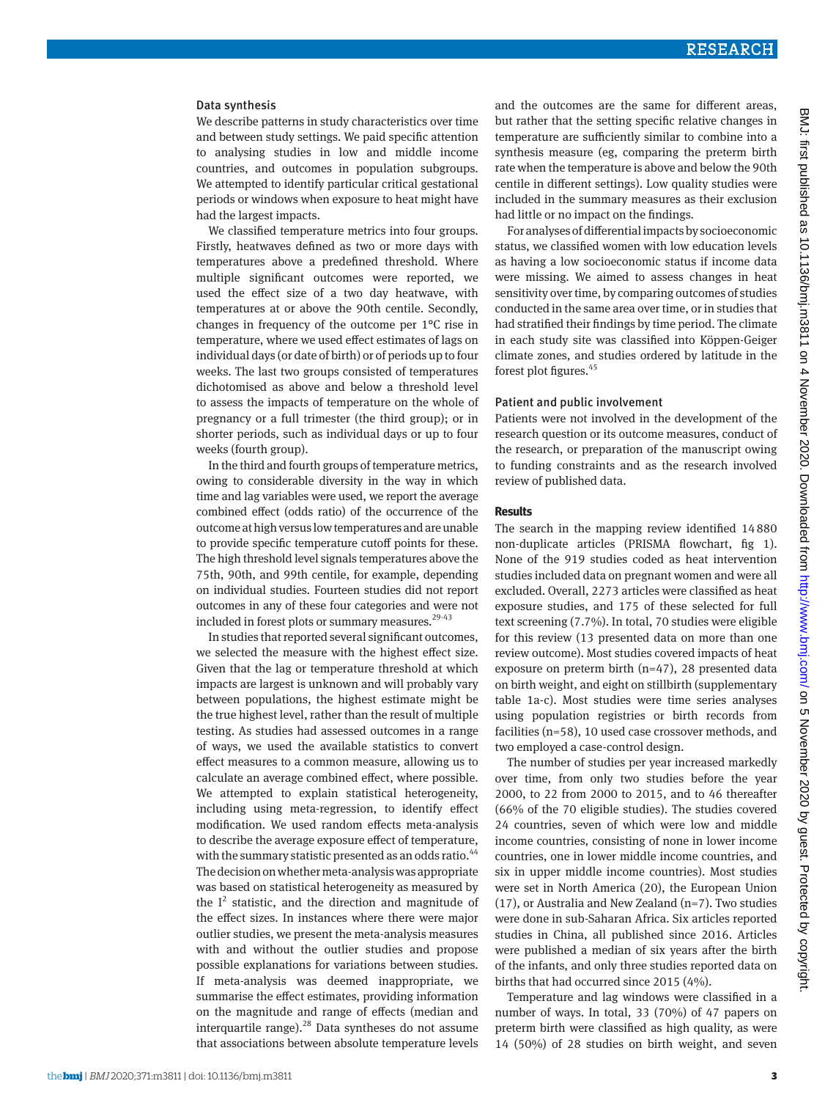#### Data synthesis

We describe patterns in study characteristics over time and between study settings. We paid specific attention to analysing studies in low and middle income countries, and outcomes in population subgroups. We attempted to identify particular critical gestational periods or windows when exposure to heat might have had the largest impacts.

We classified temperature metrics into four groups. Firstly, heatwaves defined as two or more days with temperatures above a predefined threshold. Where multiple significant outcomes were reported, we used the effect size of a two day heatwave, with temperatures at or above the 90th centile. Secondly, changes in frequency of the outcome per 1°C rise in temperature, where we used effect estimates of lags on individual days (or date of birth) or of periods up to four weeks. The last two groups consisted of temperatures dichotomised as above and below a threshold level to assess the impacts of temperature on the whole of pregnancy or a full trimester (the third group); or in shorter periods, such as individual days or up to four weeks (fourth group).

In the third and fourth groups of temperature metrics, owing to considerable diversity in the way in which time and lag variables were used, we report the average combined effect (odds ratio) of the occurrence of the outcome at high versus low temperatures and are unable to provide specific temperature cutoff points for these. The high threshold level signals temperatures above the 75th, 90th, and 99th centile, for example, depending on individual studies. Fourteen studies did not report outcomes in any of these four categories and were not included in forest plots or summary measures.<sup>29-43</sup>

In studies that reported several significant outcomes, we selected the measure with the highest effect size. Given that the lag or temperature threshold at which impacts are largest is unknown and will probably vary between populations, the highest estimate might be the true highest level, rather than the result of multiple testing. As studies had assessed outcomes in a range of ways, we used the available statistics to convert effect measures to a common measure, allowing us to calculate an average combined effect, where possible. We attempted to explain statistical heterogeneity, including using meta-regression, to identify effect modification. We used random effects meta-analysis to describe the average exposure effect of temperature, with the summary statistic presented as an odds ratio.<sup>44</sup> The decision on whether meta-analysis was appropriate was based on statistical heterogeneity as measured by the  $I^2$  statistic, and the direction and magnitude of the effect sizes. In instances where there were major outlier studies, we present the meta-analysis measures with and without the outlier studies and propose possible explanations for variations between studies. If meta-analysis was deemed inappropriate, we summarise the effect estimates, providing information on the magnitude and range of effects (median and interquartile range). $^{28}$  Data syntheses do not assume that associations between absolute temperature levels

and the outcomes are the same for different areas, but rather that the setting specific relative changes in temperature are sufficiently similar to combine into a synthesis measure (eg, comparing the preterm birth rate when the temperature is above and below the 90th centile in different settings). Low quality studies were included in the summary measures as their exclusion had little or no impact on the findings.

For analyses of differential impacts by socioeconomic status, we classified women with low education levels as having a low socioeconomic status if income data were missing. We aimed to assess changes in heat sensitivity over time, by comparing outcomes of studies conducted in the same area over time, or in studies that had stratified their findings by time period. The climate in each study site was classified into Köppen-Geiger climate zones, and studies ordered by latitude in the forest plot figures.<sup>45</sup>

#### Patient and public involvement

Patients were not involved in the development of the research question or its outcome measures, conduct of the research, or preparation of the manuscript owing to funding constraints and as the research involved review of published data.

#### **Results**

The search in the mapping review identified 14880 non-duplicate articles (PRISMA flowchart, fig 1). None of the 919 studies coded as heat intervention studies included data on pregnant women and were all excluded. Overall, 2273 articles were classified as heat exposure studies, and 175 of these selected for full text screening (7.7%). In total, 70 studies were eligible for this review (13 presented data on more than one review outcome). Most studies covered impacts of heat exposure on preterm birth (n=47), 28 presented data on birth weight, and eight on stillbirth (supplementary table 1a-c). Most studies were time series analyses using population registries or birth records from facilities (n=58), 10 used case crossover methods, and two employed a case-control design.

The number of studies per year increased markedly over time, from only two studies before the year 2000, to 22 from 2000 to 2015, and to 46 thereafter (66% of the 70 eligible studies). The studies covered 24 countries, seven of which were low and middle income countries, consisting of none in lower income countries, one in lower middle income countries, and six in upper middle income countries). Most studies were set in North America (20), the European Union (17), or Australia and New Zealand (n=7). Two studies were done in sub-Saharan Africa. Six articles reported studies in China, all published since 2016. Articles were published a median of six years after the birth of the infants, and only three studies reported data on births that had occurred since 2015 (4%).

Temperature and lag windows were classified in a number of ways. In total, 33 (70%) of 47 papers on preterm birth were classified as high quality, as were 14 (50%) of 28 studies on birth weight, and seven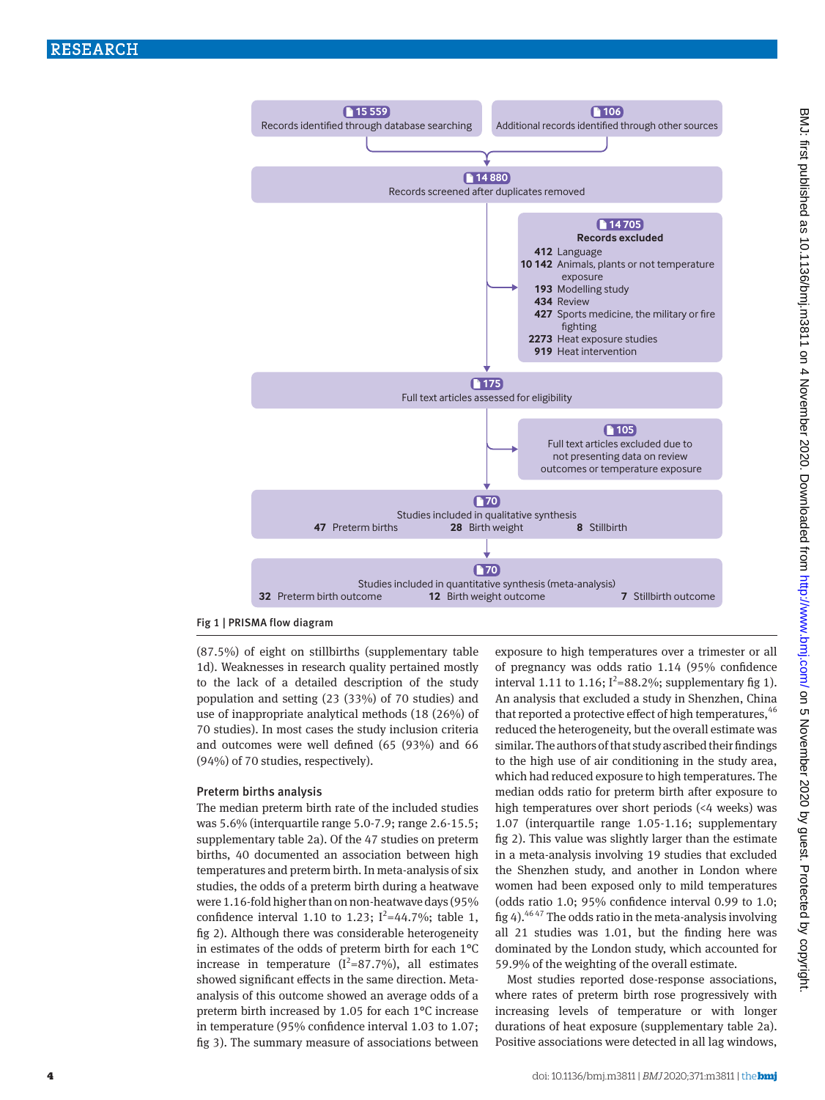

Fig 1 | PRISMA flow diagram

(87.5%) of eight on stillbirths (supplementary table 1d). Weaknesses in research quality pertained mostly to the lack of a detailed description of the study population and setting (23 (33%) of 70 studies) and use of inappropriate analytical methods (18 (26%) of 70 studies). In most cases the study inclusion criteria and outcomes were well defined (65 (93%) and 66 (94%) of 70 studies, respectively).

#### Preterm births analysis

The median preterm birth rate of the included studies was 5.6% (interquartile range 5.0-7.9; range 2.6-15.5; supplementary table 2a). Of the 47 studies on preterm births, 40 documented an association between high temperatures and preterm birth. In meta-analysis of six studies, the odds of a preterm birth during a heatwave were 1.16-fold higher than on non-heatwave days (95% confidence interval 1.10 to 1.23;  $I^2 = 44.7\%$ ; table 1, fig 2). Although there was considerable heterogeneity in estimates of the odds of preterm birth for each 1°C increase in temperature  $(I^2=87.7\%)$ , all estimates showed significant effects in the same direction. Metaanalysis of this outcome showed an average odds of a preterm birth increased by 1.05 for each 1°C increase in temperature (95% confidence interval 1.03 to 1.07; fig 3). The summary measure of associations between

exposure to high temperatures over a trimester or all of pregnancy was odds ratio 1.14 (95% confidence interval 1.11 to 1.16;  $I^2 = 88.2\%$ ; supplementary fig 1). An analysis that excluded a study in Shenzhen, China that reported a protective effect of high temperatures, <sup>46</sup> reduced the heterogeneity, but the overall estimate was similar. The authors of that study ascribed their findings to the high use of air conditioning in the study area, which had reduced exposure to high temperatures. The median odds ratio for preterm birth after exposure to high temperatures over short periods (<4 weeks) was 1.07 (interquartile range 1.05-1.16; supplementary fig 2). This value was slightly larger than the estimate in a meta-analysis involving 19 studies that excluded the Shenzhen study, and another in London where women had been exposed only to mild temperatures (odds ratio 1.0; 95% confidence interval 0.99 to 1.0; fig 4).  $4647$  The odds ratio in the meta-analysis involving all 21 studies was 1.01, but the finding here was dominated by the London study, which accounted for 59.9% of the weighting of the overall estimate.

Most studies reported dose-response associations, where rates of preterm birth rose progressively with increasing levels of temperature or with longer durations of heat exposure (supplementary table 2a). Positive associations were detected in all lag windows,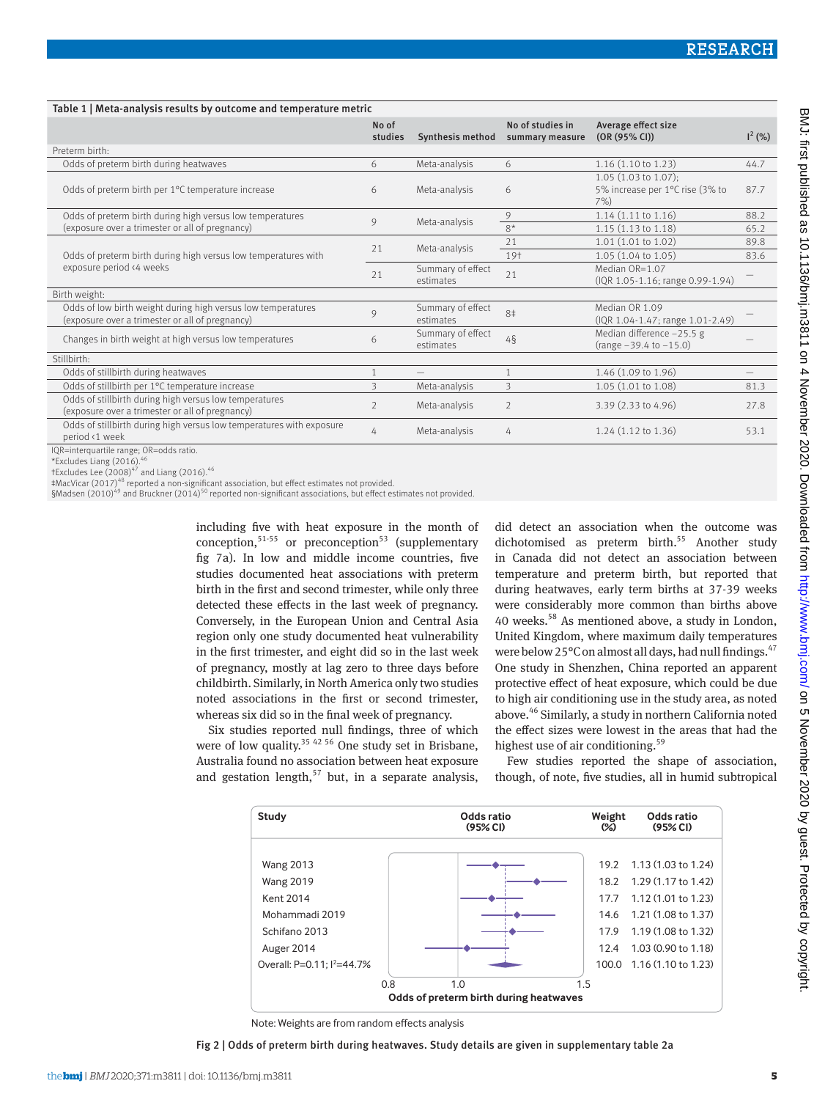| Table 1   Meta-analysis results by outcome and temperature metric                                               |                  |                                 |                                     |                                                                            |           |
|-----------------------------------------------------------------------------------------------------------------|------------------|---------------------------------|-------------------------------------|----------------------------------------------------------------------------|-----------|
|                                                                                                                 | No of<br>studies | Synthesis method                | No of studies in<br>summary measure | Average effect size<br>(OR (95% CI))                                       | $I^2$ (%) |
| Preterm birth:                                                                                                  |                  |                                 |                                     |                                                                            |           |
| Odds of preterm birth during heatwaves                                                                          | 6                | Meta-analysis                   | 6                                   | $1.16$ (1.10 to 1.23)                                                      | 44.7      |
| Odds of preterm birth per 1°C temperature increase                                                              | 6                | Meta-analysis                   | 6                                   | $1.05(1.03 \text{ to } 1.07);$<br>5% increase per 1°C rise (3% to<br>$7\%$ | 87.7      |
| Odds of preterm birth during high versus low temperatures<br>(exposure over a trimester or all of pregnancy)    | 9                | Meta-analysis                   | 9                                   | $1.14(1.11 \text{ to } 1.16)$                                              | 88.2      |
|                                                                                                                 |                  |                                 | $8*$                                | $1.15(1.13 \text{ to } 1.18)$                                              | 65.2      |
| Odds of preterm birth during high versus low temperatures with<br>exposure period <4 weeks                      | 21               | Meta-analysis                   | 21                                  | 1.01(1.01 to 1.02)                                                         | 89.8      |
|                                                                                                                 |                  |                                 | 19†                                 | $1.05(1.04 \text{ to } 1.05)$                                              | 83.6      |
|                                                                                                                 | 21               | Summary of effect<br>estimates  | 21                                  | Median OR=1.07<br>(IQR 1.05-1.16; range 0.99-1.94)                         |           |
| Birth weight:                                                                                                   |                  |                                 |                                     |                                                                            |           |
| Odds of low birth weight during high versus low temperatures<br>(exposure over a trimester or all of pregnancy) | 9                | Summary of effect<br>estimates  | 8 <sup>‡</sup>                      | Median OR 1.09<br>(IQR 1.04-1.47; range 1.01-2.49)                         |           |
| Changes in birth weight at high versus low temperatures                                                         | 6                | Summary of effect<br>estimates  | $4\bar{S}$                          | Median difference $-25.5$ g<br>$(range - 39.4 to -15.0)$                   |           |
| Stillbirth:                                                                                                     |                  |                                 |                                     |                                                                            |           |
| Odds of stillbirth during heatwaves                                                                             |                  | $\hspace{0.1mm}-\hspace{0.1mm}$ |                                     | 1.46 (1.09 to 1.96)                                                        |           |
| Odds of stillbirth per 1°C temperature increase                                                                 | 3                | Meta-analysis                   | 3                                   | 1.05 (1.01 to 1.08)                                                        | 81.3      |
| Odds of stillbirth during high versus low temperatures<br>(exposure over a trimester or all of pregnancy)       | $\mathcal{P}$    | Meta-analysis                   | $\overline{2}$                      | 3.39 (2.33 to 4.96)                                                        | 27.8      |
| Odds of stillbirth during high versus low temperatures with exposure<br>period <1 week                          | 4                | Meta-analysis                   | 4                                   | 1.24 (1.12 to 1.36)                                                        | 53.1      |

IQR=interquartile range; OR=odds ratio.

 $*$ Excludes Liang (2016).<sup>4</sup>

†Excludes Lee (2008)<sup>47</sup> and Liang (2016).<sup>46</sup><br>‡MacVicar (2017)<sup>48</sup> reported a non-significant association, but effect estimates not provided.

§Madsen (2010)<sup>49</sup> and Bruckner (2014)<sup>50</sup> reported non-significant associations, but effect estimates not provided

including five with heat exposure in the month of conception,<sup>51-55</sup> or preconception<sup>53</sup> (supplementary fig 7a). In low and middle income countries, five studies documented heat associations with preterm birth in the first and second trimester, while only three detected these effects in the last week of pregnancy. Conversely, in the European Union and Central Asia region only one study documented heat vulnerability in the first trimester, and eight did so in the last week of pregnancy, mostly at lag zero to three days before childbirth. Similarly, in North America only two studies noted associations in the first or second trimester, whereas six did so in the final week of pregnancy.

Six studies reported null findings, three of which were of low quality.<sup>35 42 56</sup> One study set in Brisbane, Australia found no association between heat exposure and gestation length, $57$  but, in a separate analysis, did detect an association when the outcome was dichotomised as preterm birth.<sup>55</sup> Another study in Canada did not detect an association between temperature and preterm birth, but reported that during heatwaves, early term births at 37-39 weeks were considerably more common than births above 40 weeks.58 As mentioned above, a study in London, United Kingdom, where maximum daily temperatures were below 25°C on almost all days, had null findings.<sup>47</sup> One study in Shenzhen, China reported an apparent protective effect of heat exposure, which could be due to high air conditioning use in the study area, as noted above.46 Similarly, a study in northern California noted the effect sizes were lowest in the areas that had the highest use of air conditioning.<sup>59</sup>

Few studies reported the shape of association, though, of note, five studies, all in humid subtropical



Note: Weights are from random effects analysis

Fig 2 | Odds of preterm birth during heatwaves. Study details are given in supplementary table 2a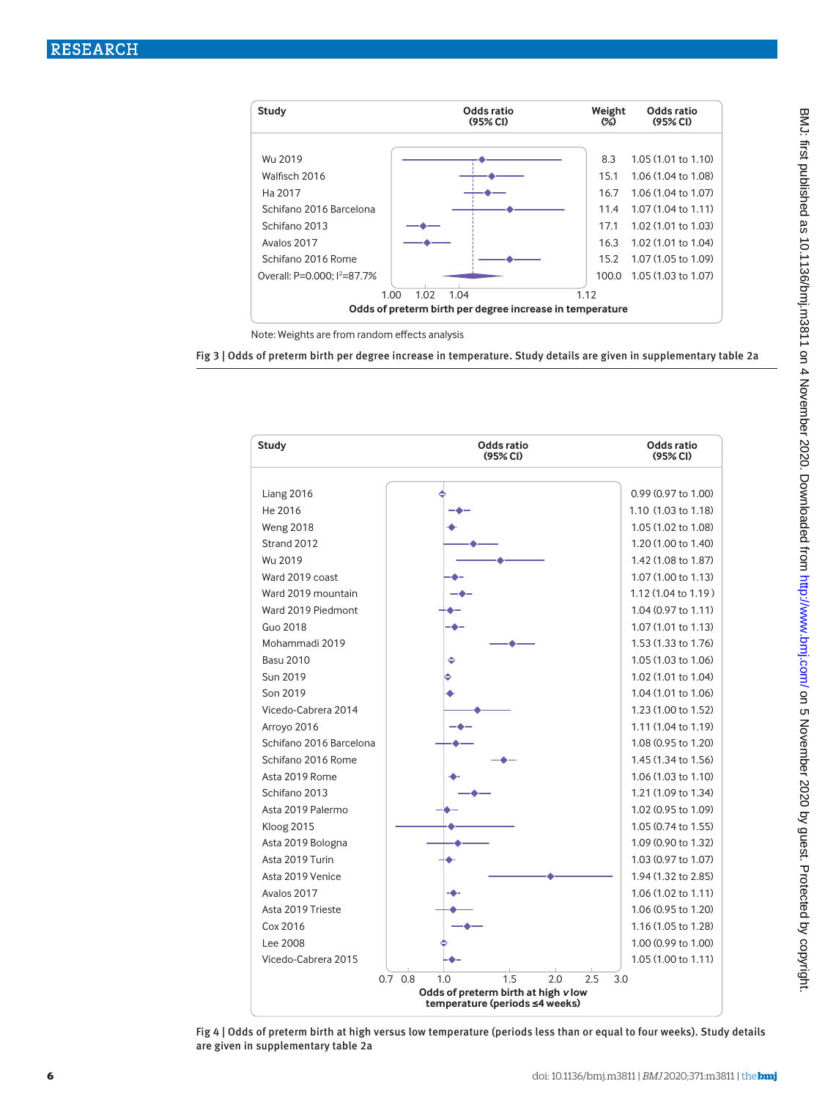

Note: Weights are from random effects analysis

Fig 3 | Odds of preterm birth per degree increase in temperature. Study details are given in supplementary table 2a



Fig 4 | Odds of preterm birth at high versus low temperature (periods less than or equal to four weeks). Study details are given in supplementary table 2a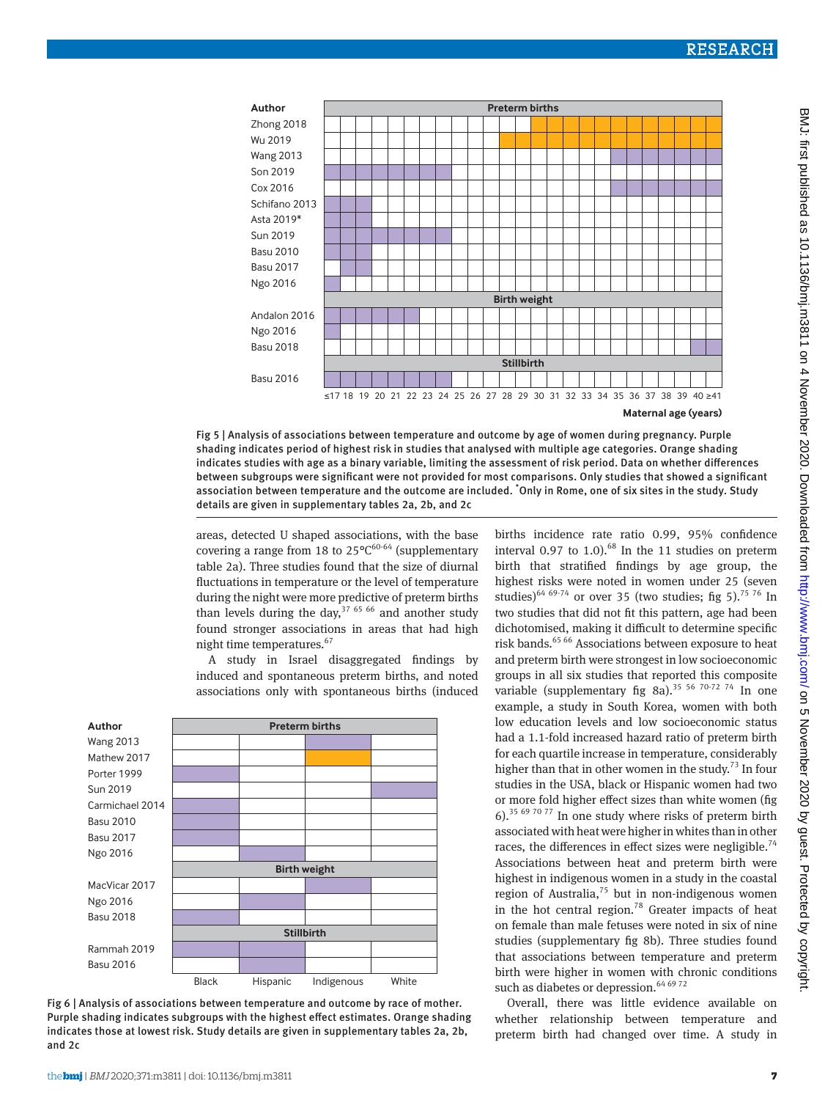

Fig 5 | Analysis of associations between temperature and outcome by age of women during pregnancy. Purple shading indicates period of highest risk in studies that analysed with multiple age categories. Orange shading indicates studies with age as a binary variable, limiting the assessment of risk period. Data on whether differences between subgroups were significant were not provided for most comparisons. Only studies that showed a significant association between temperature and the outcome are included. \* Only in Rome, one of six sites in the study. Study details are given in supplementary tables 2a, 2b, and 2c

areas, detected U shaped associations, with the base covering a range from 18 to  $25^{\circ}C^{60.64}$  (supplementary table 2a). Three studies found that the size of diurnal fluctuations in temperature or the level of temperature during the night were more predictive of preterm births than levels during the day,  $37/65/66$  and another study found stronger associations in areas that had high night time temperatures.<sup>67</sup>

A study in Israel disaggregated findings by induced and spontaneous preterm births, and noted associations only with spontaneous births (induced



Fig 6 | Analysis of associations between temperature and outcome by race of mother. Purple shading indicates subgroups with the highest effect estimates. Orange shading indicates those at lowest risk. Study details are given in supplementary tables 2a, 2b, and 2c

births incidence rate ratio 0.99, 95% confidence interval 0.97 to 1.0). $^{68}$  In the 11 studies on preterm birth that stratified findings by age group, the highest risks were noted in women under 25 (seven studies)<sup>64 69-74</sup> or over 35 (two studies; fig 5).<sup>75 76</sup> In two studies that did not fit this pattern, age had been dichotomised, making it difficult to determine specific risk bands.<sup>65 66</sup> Associations between exposure to heat and preterm birth were strongest in low socioeconomic groups in all six studies that reported this composite variable (supplementary fig 8a).<sup>35 56 70-72 74</sup> In one example, a study in South Korea, women with both low education levels and low socioeconomic status had a 1.1-fold increased hazard ratio of preterm birth for each quartile increase in temperature, considerably higher than that in other women in the study.<sup>73</sup> In four studies in the USA, black or Hispanic women had two or more fold higher effect sizes than white women (fig 6).35 69 70 77 In one study where risks of preterm birth associated with heat were higher in whites than in other races, the differences in effect sizes were negligible.<sup>74</sup> Associations between heat and preterm birth were highest in indigenous women in a study in the coastal region of Australia, $75$  but in non-indigenous women in the hot central region.<sup>78</sup> Greater impacts of heat on female than male fetuses were noted in six of nine studies (supplementary fig 8b). Three studies found that associations between temperature and preterm birth were higher in women with chronic conditions such as diabetes or depression.<sup>64 6972</sup>

Overall, there was little evidence available on whether relationship between temperature and preterm birth had changed over time. A study in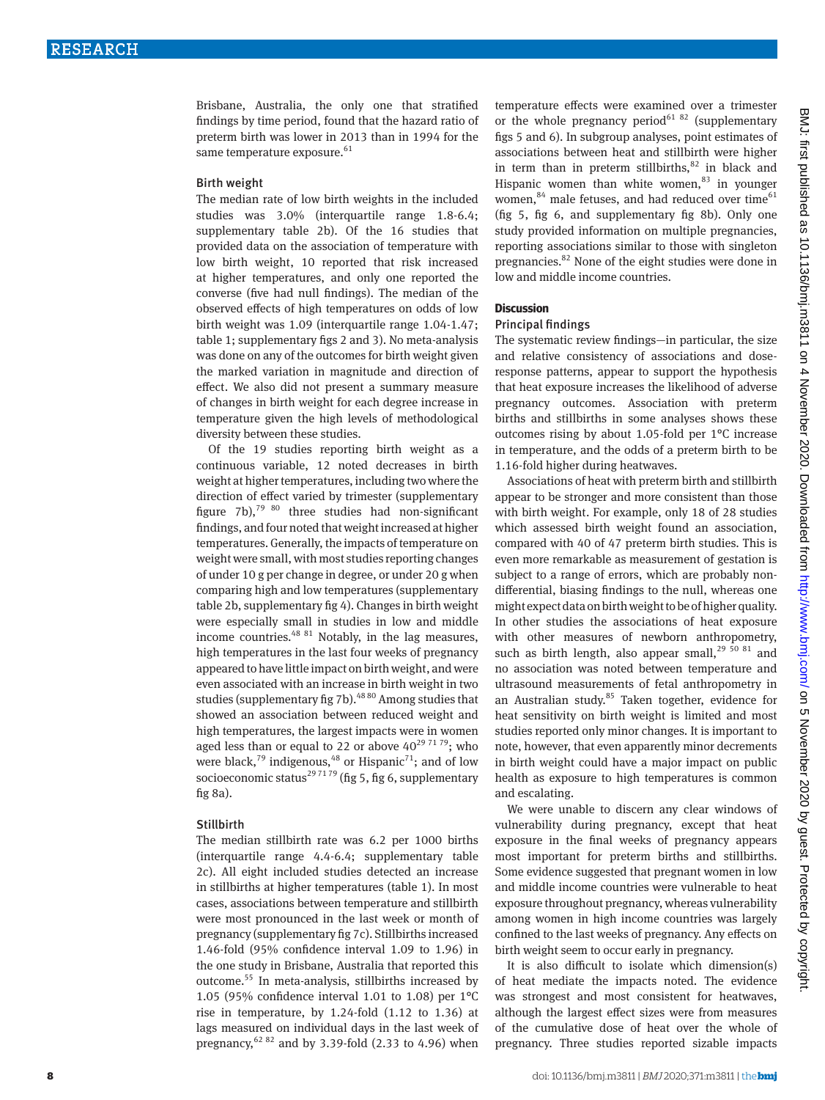Brisbane, Australia, the only one that stratified findings by time period, found that the hazard ratio of preterm birth was lower in 2013 than in 1994 for the same temperature exposure.<sup>61</sup>

#### Birth weight

The median rate of low birth weights in the included studies was 3.0% (interquartile range 1.8-6.4; supplementary table 2b). Of the 16 studies that provided data on the association of temperature with low birth weight, 10 reported that risk increased at higher temperatures, and only one reported the converse (five had null findings). The median of the observed effects of high temperatures on odds of low birth weight was 1.09 (interquartile range 1.04-1.47; table 1; supplementary figs 2 and 3). No meta-analysis was done on any of the outcomes for birth weight given the marked variation in magnitude and direction of effect. We also did not present a summary measure of changes in birth weight for each degree increase in temperature given the high levels of methodological diversity between these studies.

Of the 19 studies reporting birth weight as a continuous variable, 12 noted decreases in birth weight at higher temperatures, including two where the direction of effect varied by trimester (supplementary figure 7b), $^{79}$   $^{80}$  three studies had non-significant findings, and four noted that weight increased at higher temperatures. Generally, the impacts of temperature on weight were small, with most studies reporting changes of under 10 g per change in degree, or under 20 g when comparing high and low temperatures (supplementary table 2b, supplementary fig 4). Changes in birth weight were especially small in studies in low and middle income countries. $4881$  Notably, in the lag measures, high temperatures in the last four weeks of pregnancy appeared to have little impact on birth weight, and were even associated with an increase in birth weight in two studies (supplementary fig 7b). $4880$  Among studies that showed an association between reduced weight and high temperatures, the largest impacts were in women aged less than or equal to 22 or above  $40^{29}$  <sup>71 79</sup>; who were black,<sup>79</sup> indigenous,<sup>48</sup> or Hispanic<sup>71</sup>; and of low socioeconomic status<sup>297179</sup> (fig 5, fig 6, supplementary fig 8a).

#### **Stillbirth**

The median stillbirth rate was 6.2 per 1000 births (interquartile range 4.4-6.4; supplementary table 2c). All eight included studies detected an increase in stillbirths at higher temperatures (table 1). In most cases, associations between temperature and stillbirth were most pronounced in the last week or month of pregnancy (supplementary fig 7c). Stillbirths increased 1.46-fold (95% confidence interval 1.09 to 1.96) in the one study in Brisbane, Australia that reported this outcome.55 In meta-analysis, stillbirths increased by 1.05 (95% confidence interval 1.01 to 1.08) per 1°C rise in temperature, by 1.24-fold (1.12 to 1.36) at lags measured on individual days in the last week of pregnancy,  $62 82$  and by 3.39-fold (2.33 to 4.96) when temperature effects were examined over a trimester or the whole pregnancy period<sup>61 82</sup> (supplementary figs 5 and 6). In subgroup analyses, point estimates of associations between heat and stillbirth were higher in term than in preterm stillbirths, $82$  in black and Hispanic women than white women, $83$  in younger women, $^{84}$  male fetuses, and had reduced over time<sup>61</sup> (fig 5, fig 6, and supplementary fig 8b). Only one study provided information on multiple pregnancies, reporting associations similar to those with singleton pregnancies.82 None of the eight studies were done in low and middle income countries.

#### **Discussion**

#### Principal findings

The systematic review findings—in particular, the size and relative consistency of associations and doseresponse patterns, appear to support the hypothesis that heat exposure increases the likelihood of adverse pregnancy outcomes. Association with preterm births and stillbirths in some analyses shows these outcomes rising by about 1.05-fold per 1°C increase in temperature, and the odds of a preterm birth to be 1.16-fold higher during heatwaves.

Associations of heat with preterm birth and stillbirth appear to be stronger and more consistent than those with birth weight. For example, only 18 of 28 studies which assessed birth weight found an association, compared with 40 of 47 preterm birth studies. This is even more remarkable as measurement of gestation is subject to a range of errors, which are probably nondifferential, biasing findings to the null, whereas one might expect data on birth weight to be of higher quality. In other studies the associations of heat exposure with other measures of newborn anthropometry, such as birth length, also appear small, $^{29}$  50  $^{81}$  and no association was noted between temperature and ultrasound measurements of fetal anthropometry in an Australian study. $85$  Taken together, evidence for heat sensitivity on birth weight is limited and most studies reported only minor changes. It is important to note, however, that even apparently minor decrements in birth weight could have a major impact on public health as exposure to high temperatures is common and escalating.

We were unable to discern any clear windows of vulnerability during pregnancy, except that heat exposure in the final weeks of pregnancy appears most important for preterm births and stillbirths. Some evidence suggested that pregnant women in low and middle income countries were vulnerable to heat exposure throughout pregnancy, whereas vulnerability among women in high income countries was largely confined to the last weeks of pregnancy. Any effects on birth weight seem to occur early in pregnancy.

It is also difficult to isolate which dimension(s) of heat mediate the impacts noted. The evidence was strongest and most consistent for heatwaves, although the largest effect sizes were from measures of the cumulative dose of heat over the whole of pregnancy. Three studies reported sizable impacts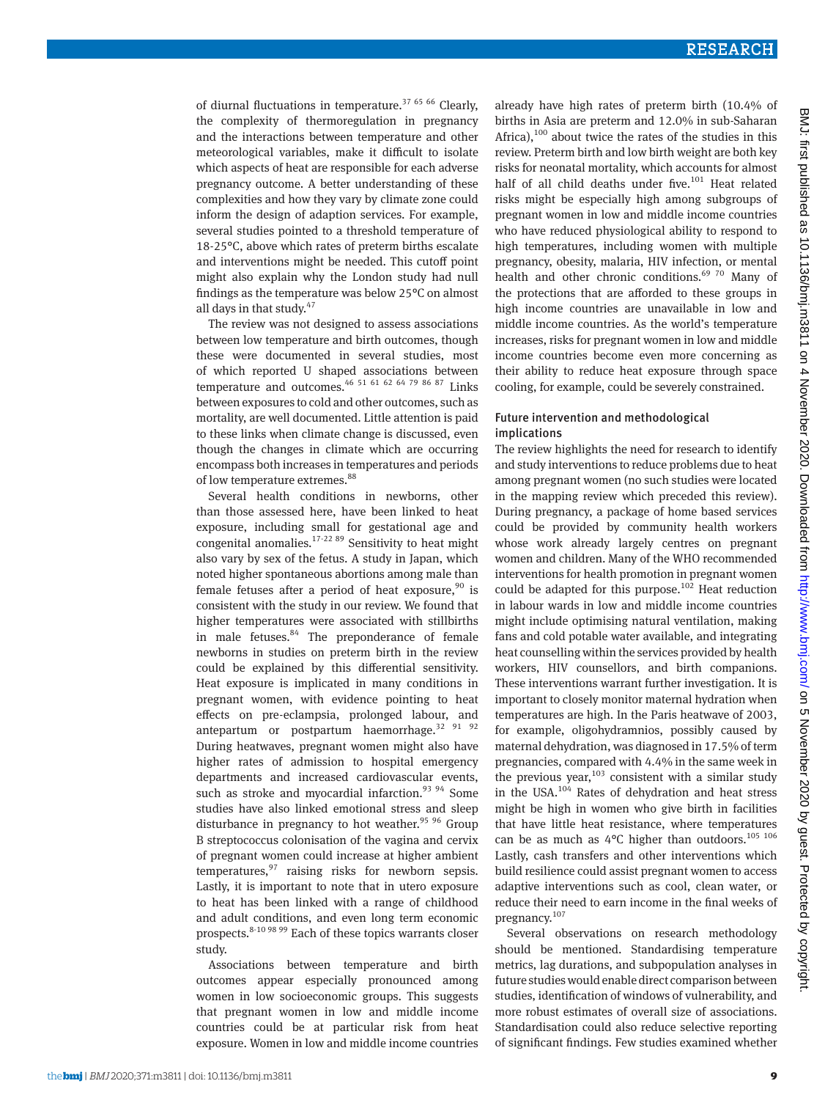of diurnal fluctuations in temperature.<sup>37 65 66</sup> Clearly, the complexity of thermoregulation in pregnancy and the interactions between temperature and other meteorological variables, make it difficult to isolate which aspects of heat are responsible for each adverse pregnancy outcome. A better understanding of these complexities and how they vary by climate zone could inform the design of adaption services. For example, several studies pointed to a threshold temperature of 18-25°C, above which rates of preterm births escalate and interventions might be needed. This cutoff point might also explain why the London study had null findings as the temperature was below 25°C on almost all days in that study.47

The review was not designed to assess associations between low temperature and birth outcomes, though these were documented in several studies, most of which reported U shaped associations between temperature and outcomes.  $46$  51 61 62 64 79 86 87 Links between exposures to cold and other outcomes, such as mortality, are well documented. Little attention is paid to these links when climate change is discussed, even though the changes in climate which are occurring encompass both increases in temperatures and periods of low temperature extremes.<sup>88</sup>

Several health conditions in newborns, other than those assessed here, have been linked to heat exposure, including small for gestational age and congenital anomalies.<sup>17-22 89</sup> Sensitivity to heat might also vary by sex of the fetus. A study in Japan, which noted higher spontaneous abortions among male than female fetuses after a period of heat exposure,  $90$  is consistent with the study in our review. We found that higher temperatures were associated with stillbirths in male fetuses. $84$  The preponderance of female newborns in studies on preterm birth in the review could be explained by this differential sensitivity. Heat exposure is implicated in many conditions in pregnant women, with evidence pointing to heat effects on pre-eclampsia, prolonged labour, and antepartum or postpartum haemorrhage.<sup>32 91 92</sup> During heatwaves, pregnant women might also have higher rates of admission to hospital emergency departments and increased cardiovascular events, such as stroke and myocardial infarction. $93\,94\,$  Some studies have also linked emotional stress and sleep disturbance in pregnancy to hot weather.<sup>95 96</sup> Group B streptococcus colonisation of the vagina and cervix of pregnant women could increase at higher ambient temperatures, $97$  raising risks for newborn sepsis. Lastly, it is important to note that in utero exposure to heat has been linked with a range of childhood and adult conditions, and even long term economic prospects.8-10 98 99 Each of these topics warrants closer study.

Associations between temperature and birth outcomes appear especially pronounced among women in low socioeconomic groups. This suggests that pregnant women in low and middle income countries could be at particular risk from heat exposure. Women in low and middle income countries already have high rates of preterm birth (10.4% of births in Asia are preterm and 12.0% in sub-Saharan Africa), $100$  about twice the rates of the studies in this review. Preterm birth and low birth weight are both key risks for neonatal mortality, which accounts for almost half of all child deaths under five.<sup>101</sup> Heat related risks might be especially high among subgroups of pregnant women in low and middle income countries who have reduced physiological ability to respond to high temperatures, including women with multiple pregnancy, obesity, malaria, HIV infection, or mental health and other chronic conditions.<sup>69 70</sup> Many of the protections that are afforded to these groups in high income countries are unavailable in low and middle income countries. As the world's temperature increases, risks for pregnant women in low and middle income countries become even more concerning as their ability to reduce heat exposure through space cooling, for example, could be severely constrained.

#### Future intervention and methodological implications

The review highlights the need for research to identify and study interventions to reduce problems due to heat among pregnant women (no such studies were located in the mapping review which preceded this review). During pregnancy, a package of home based services could be provided by community health workers whose work already largely centres on pregnant women and children. Many of the WHO recommended interventions for health promotion in pregnant women could be adapted for this purpose.<sup>102</sup> Heat reduction in labour wards in low and middle income countries might include optimising natural ventilation, making fans and cold potable water available, and integrating heat counselling within the services provided by health workers, HIV counsellors, and birth companions. These interventions warrant further investigation. It is important to closely monitor maternal hydration when temperatures are high. In the Paris heatwave of 2003, for example, oligohydramnios, possibly caused by maternal dehydration, was diagnosed in 17.5% of term pregnancies, compared with 4.4% in the same week in the previous year, $103$  consistent with a similar study in the USA.104 Rates of dehydration and heat stress might be high in women who give birth in facilities that have little heat resistance, where temperatures can be as much as  $4^{\circ}$ C higher than outdoors.<sup>105 106</sup> Lastly, cash transfers and other interventions which build resilience could assist pregnant women to access adaptive interventions such as cool, clean water, or reduce their need to earn income in the final weeks of pregnancy.<sup>107</sup>

Several observations on research methodology should be mentioned. Standardising temperature metrics, lag durations, and subpopulation analyses in future studies would enable direct comparison between studies, identification of windows of vulnerability, and more robust estimates of overall size of associations. Standardisation could also reduce selective reporting of significant findings. Few studies examined whether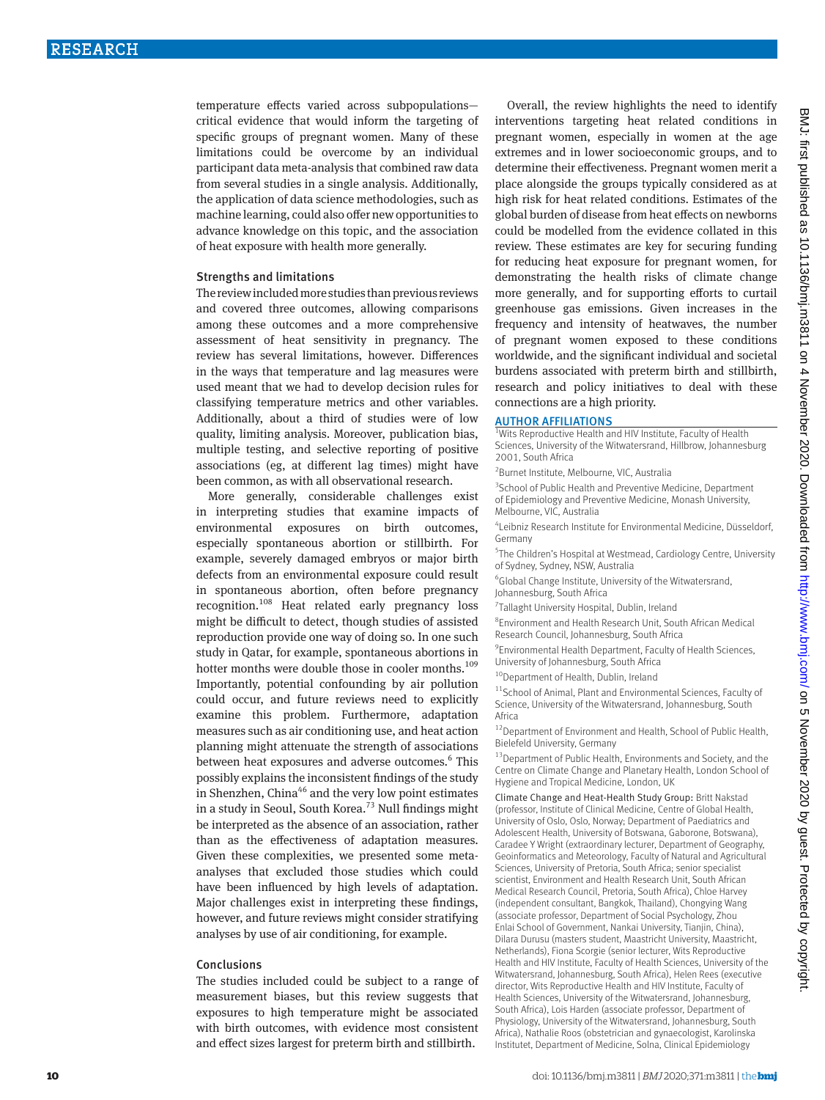temperature effects varied across subpopulations critical evidence that would inform the targeting of specific groups of pregnant women. Many of these limitations could be overcome by an individual participant data meta-analysis that combined raw data from several studies in a single analysis. Additionally, the application of data science methodologies, such as machine learning, could also offer new opportunities to advance knowledge on this topic, and the association of heat exposure with health more generally.

#### Strengths and limitations

The review included more studies than previous reviews and covered three outcomes, allowing comparisons among these outcomes and a more comprehensive assessment of heat sensitivity in pregnancy. The review has several limitations, however. Differences in the ways that temperature and lag measures were used meant that we had to develop decision rules for classifying temperature metrics and other variables. Additionally, about a third of studies were of low quality, limiting analysis. Moreover, publication bias, multiple testing, and selective reporting of positive associations (eg, at different lag times) might have been common, as with all observational research.

More generally, considerable challenges exist in interpreting studies that examine impacts of environmental exposures on birth outcomes, especially spontaneous abortion or stillbirth. For example, severely damaged embryos or major birth defects from an environmental exposure could result in spontaneous abortion, often before pregnancy recognition.108 Heat related early pregnancy loss might be difficult to detect, though studies of assisted reproduction provide one way of doing so. In one such study in Qatar, for example, spontaneous abortions in hotter months were double those in cooler months.<sup>109</sup> Importantly, potential confounding by air pollution could occur, and future reviews need to explicitly examine this problem. Furthermore, adaptation measures such as air conditioning use, and heat action planning might attenuate the strength of associations between heat exposures and adverse outcomes.<sup>6</sup> This possibly explains the inconsistent findings of the study in Shenzhen, China $46$  and the very low point estimates in a study in Seoul, South Korea.<sup>73</sup> Null findings might be interpreted as the absence of an association, rather than as the effectiveness of adaptation measures. Given these complexities, we presented some metaanalyses that excluded those studies which could have been influenced by high levels of adaptation. Major challenges exist in interpreting these findings, however, and future reviews might consider stratifying analyses by use of air conditioning, for example.

#### Conclusions

The studies included could be subject to a range of measurement biases, but this review suggests that exposures to high temperature might be associated with birth outcomes, with evidence most consistent and effect sizes largest for preterm birth and stillbirth.

Overall, the review highlights the need to identify interventions targeting heat related conditions in pregnant women, especially in women at the age extremes and in lower socioeconomic groups, and to determine their effectiveness. Pregnant women merit a place alongside the groups typically considered as at high risk for heat related conditions. Estimates of the global burden of disease from heat effects on newborns could be modelled from the evidence collated in this review. These estimates are key for securing funding for reducing heat exposure for pregnant women, for demonstrating the health risks of climate change more generally, and for supporting efforts to curtail greenhouse gas emissions. Given increases in the frequency and intensity of heatwaves, the number of pregnant women exposed to these conditions worldwide, and the significant individual and societal burdens associated with preterm birth and stillbirth, research and policy initiatives to deal with these connections are a high priority.

#### AUTHOR AFFILIATIONS

<sup>1</sup>Wits Reproductive Health and HIV Institute, Faculty of Health Sciences, University of the Witwatersrand, Hillbrow, Johannesburg 2001, South Africa

2 Burnet Institute, Melbourne, VIC, Australia

<sup>3</sup> School of Public Health and Preventive Medicine, Department of Epidemiology and Preventive Medicine, Monash University, Melbourne, VIC, Australia

4 Leibniz Research Institute for Environmental Medicine, Düsseldorf, Germany

<sup>5</sup>The Children's Hospital at Westmead, Cardiology Centre, University of Sydney, Sydney, NSW, Australia

6 Global Change Institute, University of the Witwatersrand, Johannesburg, South Africa

7 Tallaght University Hospital, Dublin, Ireland

8 Environment and Health Research Unit, South African Medical Research Council, Johannesburg, South Africa

9 Environmental Health Department, Faculty of Health Sciences, University of Johannesburg, South Africa

<sup>10</sup>Department of Health, Dublin, Ireland

11School of Animal, Plant and Environmental Sciences, Faculty of Science, University of the Witwatersrand, Johannesburg, South Africa

12Department of Environment and Health, School of Public Health, Bielefeld University, Germany

<sup>13</sup> Department of Public Health, Environments and Society, and the Centre on Climate Change and Planetary Health, London School of Hygiene and Tropical Medicine, London, UK

Climate Change and Heat-Health Study Group: Britt Nakstad (professor, Institute of Clinical Medicine, Centre of Global Health, University of Oslo, Oslo, Norway; Department of Paediatrics and Adolescent Health, University of Botswana, Gaborone, Botswana), Caradee Y Wright (extraordinary lecturer, Department of Geography, Geoinformatics and Meteorology, Faculty of Natural and Agricultural Sciences, University of Pretoria, South Africa; senior specialist scientist, Environment and Health Research Unit, South African Medical Research Council, Pretoria, South Africa), Chloe Harvey (independent consultant, Bangkok, Thailand), Chongying Wang (associate professor, Department of Social Psychology, Zhou Enlai School of Government, Nankai University, Tianjin, China), Dilara Durusu (masters student, Maastricht University, Maastricht, Netherlands), Fiona Scorgie (senior lecturer, Wits Reproductive Health and HIV Institute, Faculty of Health Sciences, University of the Witwatersrand, Johannesburg, South Africa), Helen Rees (executive director, Wits Reproductive Health and HIV Institute, Faculty of Health Sciences, University of the Witwatersrand, Johannesburg, South Africa), Lois Harden (associate professor, Department of Physiology, University of the Witwatersrand, Johannesburg, South Africa), Nathalie Roos (obstetrician and gynaecologist, Karolinska Institutet, Department of Medicine, Solna, Clinical Epidemiology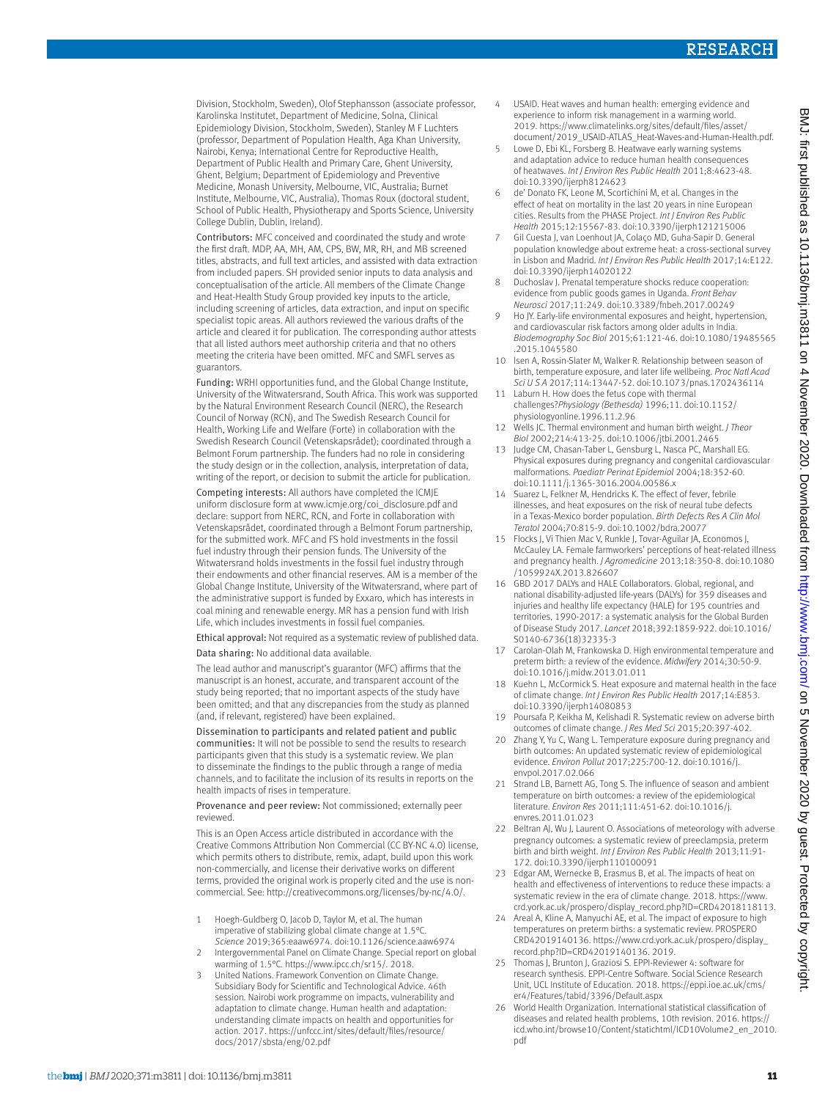Division, Stockholm, Sweden), Olof Stephansson (associate professor, Karolinska Institutet, Department of Medicine, Solna, Clinical Epidemiology Division, Stockholm, Sweden), Stanley M F Luchters (professor, Department of Population Health, Aga Khan University, Nairobi, Kenya; International Centre for Reproductive Health, Department of Public Health and Primary Care, Ghent University, Ghent, Belgium; Department of Epidemiology and Preventive Medicine, Monash University, Melbourne, VIC, Australia; Burnet Institute, Melbourne, VIC, Australia), Thomas Roux (doctoral student, School of Public Health, Physiotherapy and Sports Science, University College Dublin, Dublin, Ireland).

Contributors: MFC conceived and coordinated the study and wrote the first draft. MDP, AA, MH, AM, CPS, BW, MR, RH, and MB screened titles, abstracts, and full text articles, and assisted with data extraction from included papers. SH provided senior inputs to data analysis and conceptualisation of the article. All members of the Climate Change and Heat-Health Study Group provided key inputs to the article, including screening of articles, data extraction, and input on specific specialist topic areas. All authors reviewed the various drafts of the article and cleared it for publication. The corresponding author attests that all listed authors meet authorship criteria and that no others meeting the criteria have been omitted. MFC and SMFL serves as guarantors.

Funding: WRHI opportunities fund, and the Global Change Institute, University of the Witwatersrand, South Africa. This work was supported by the Natural Environment Research Council (NERC), the Research Council of Norway (RCN), and The Swedish Research Council for Health, Working Life and Welfare (Forte) in collaboration with the Swedish Research Council (Vetenskapsrådet); coordinated through a Belmont Forum partnership. The funders had no role in considering the study design or in the collection, analysis, interpretation of data, writing of the report, or decision to submit the article for publication.

Competing interests: All authors have completed the ICMJE uniform disclosure form at [www.icmje.org/coi\\_disclosure.pdf](http://www.icmje.org/coi_disclosure.pdf) and declare: support from NERC, RCN, and Forte in collaboration with Vetenskapsrådet, coordinated through a Belmont Forum partnership, for the submitted work. MFC and FS hold investments in the fossil fuel industry through their pension funds. The University of the Witwatersrand holds investments in the fossil fuel industry through their endowments and other financial reserves. AM is a member of the Global Change Institute, University of the Witwatersrand, where part of the administrative support is funded by Exxaro, which has interests in coal mining and renewable energy. MR has a pension fund with Irish Life, which includes investments in fossil fuel companies.

Ethical approval: Not required as a systematic review of published data.

Data sharing: No additional data available.

The lead author and manuscript's guarantor (MFC) affirms that the manuscript is an honest, accurate, and transparent account of the study being reported; that no important aspects of the study have been omitted; and that any discrepancies from the study as planned (and, if relevant, registered) have been explained.

Dissemination to participants and related patient and public communities: It will not be possible to send the results to research participants given that this study is a systematic review. We plan to disseminate the findings to the public through a range of media channels, and to facilitate the inclusion of its results in reports on the health impacts of rises in temperature.

Provenance and peer review: Not commissioned; externally peer reviewed.

This is an Open Access article distributed in accordance with the Creative Commons Attribution Non Commercial (CC BY-NC 4.0) license, which permits others to distribute, remix, adapt, build upon this work non-commercially, and license their derivative works on different terms, provided the original work is properly cited and the use is noncommercial. See: [http://creativecommons.org/licenses/by-nc/4.0/.](http://creativecommons.org/licenses/by-nc/4.0/)

- 1 Hoegh-Guldberg O, Jacob D, Taylor M, et al. The human imperative of stabilizing global climate change at 1.5°C. *Science* 2019;365:eaaw6974. doi:10.1126/science.aaw6974
- 2 Intergovernmental Panel on Climate Change. Special report on global warming of 1.5°C. [https://www.ipcc.ch/sr15/.](https://www.ipcc.ch/sr15/) 2018.
- 3 United Nations. Framework Convention on Climate Change. Subsidiary Body for Scientific and Technological Advice. 46th session. Nairobi work programme on impacts, vulnerability and adaptation to climate change. Human health and adaptation: understanding climate impacts on health and opportunities for action. 2017. [https://unfccc.int/sites/default/files/resource/](https://unfccc.int/sites/default/files/resource/docs/2017/sbsta/eng/02.pdf) [docs/2017/sbsta/eng/02.pdf](https://unfccc.int/sites/default/files/resource/docs/2017/sbsta/eng/02.pdf)
- 4 USAID. Heat waves and human health: emerging evidence and experience to inform risk management in a warming world. 2019. [https://www.climatelinks.org/sites/default/files/asset/](https://www.climatelinks.org/sites/default/files/asset/document/2019_USAID-ATLAS_Heat-Waves-and-Human-Health.pdf) [document/2019\\_USAID-ATLAS\\_Heat-Waves-and-Human-Health.pdf](https://www.climatelinks.org/sites/default/files/asset/document/2019_USAID-ATLAS_Heat-Waves-and-Human-Health.pdf).
- 5 Lowe D, Ebi KL, Forsberg B. Heatwave early warning systems and adaptation advice to reduce human health consequences of heatwaves. *Int J Environ Res Public Health* 2011;8:4623-48. doi:10.3390/ijerph8124623
- 6 de' Donato FK, Leone M, Scortichini M, et al. Changes in the effect of heat on mortality in the last 20 years in nine European cities. Results from the PHASE Project. *Int J Environ Res Public Health* 2015;12:15567-83. doi:10.3390/ijerph121215006
- 7 Gil Cuesta J, van Loenhout JA, Colaço MD, Guha-Sapir D. General population knowledge about extreme heat: a cross-sectional survey in Lisbon and Madrid. *Int J Environ Res Public Health* 2017;14:E122. doi:10.3390/ijerph14020122
- Duchoslav J. Prenatal temperature shocks reduce cooperation: evidence from public goods games in Uganda. *Front Behav Neurosci* 2017;11:249. doi:10.3389/fnbeh.2017.00249
- 9 Ho JY. Early-life environmental exposures and height, hypertension, and cardiovascular risk factors among older adults in India. *Biodemography Soc Biol* 2015;61:121-46. doi:10.1080/19485565 .2015.1045580
- 10 Isen A, Rossin-Slater M, Walker R. Relationship between season of birth, temperature exposure, and later life wellbeing. *Proc Natl Acad Sci U S A* 2017;114:13447-52. doi:10.1073/pnas.1702436114
- 11 Laburn H. How does the fetus cope with thermal challenges?*Physiology (Bethesda)* 1996;11. doi:10.1152/ physiologyonline.1996.11.2.96
- 12 Wells JC. Thermal environment and human birth weight. *J Theor Biol* 2002;214:413-25. doi:10.1006/jtbi.2001.2465
- 13 Judge CM, Chasan-Taber L, Gensburg L, Nasca PC, Marshall EG. Physical exposures during pregnancy and congenital cardiovascular malformations. *Paediatr Perinat Epidemiol* 2004;18:352-60. doi:10.1111/j.1365-3016.2004.00586.x
- 14 Suarez L, Felkner M, Hendricks K. The effect of fever, febrile illnesses, and heat exposures on the risk of neural tube defects in a Texas-Mexico border population. *Birth Defects Res A Clin Mol Teratol* 2004;70:815-9. doi:10.1002/bdra.20077
- 15 Flocks J, Vi Thien Mac V, Runkle J, Tovar-Aguilar JA, Economos J, McCauley LA. Female farmworkers' perceptions of heat-related illness and pregnancy health. *J Agromedicine* 2013;18:350-8. doi:10.1080 /1059924X.2013.826607
- 16 GBD 2017 DALYs and HALE Collaborators. Global, regional, and national disability-adjusted life-years (DALYs) for 359 diseases and injuries and healthy life expectancy (HALE) for 195 countries and territories, 1990-2017: a systematic analysis for the Global Burden of Disease Study 2017. *Lancet* 2018;392:1859-922. doi:10.1016/ S0140-6736(18)32335-3
- 17 Carolan-Olah M, Frankowska D. High environmental temperature and preterm birth: a review of the evidence. *Midwifery* 2014;30:50-9. doi:10.1016/j.midw.2013.01.011
- 18 Kuehn L, McCormick S. Heat exposure and maternal health in the face of climate change. *Int J Environ Res Public Health* 2017;14:E853. doi:10.3390/ijerph14080853
- 19 Poursafa P, Keikha M, Kelishadi R. Systematic review on adverse birth outcomes of climate change. *J Res Med Sci* 2015;20:397-402.
- 20 Zhang Y, Yu C, Wang L. Temperature exposure during pregnancy and birth outcomes: An updated systematic review of epidemiological evidence. *Environ Pollut* 2017;225:700-12. doi:10.1016/j. envpol.2017.02.066
- 21 Strand LB, Barnett AG, Tong S. The influence of season and ambient temperature on birth outcomes: a review of the epidemiological literature. *Environ Res* 2011;111:451-62. doi:10.1016/j. envres.2011.01.023
- 22 Beltran AJ, Wu J, Laurent O. Associations of meteorology with adverse pregnancy outcomes: a systematic review of preeclampsia, preterm birth and birth weight. *Int J Environ Res Public Health* 2013;11:91- 172. doi:10.3390/ijerph110100091
- 23 Edgar AM, Wernecke B, Erasmus B, et al. The impacts of heat on health and effectiveness of interventions to reduce these impacts: a systematic review in the era of climate change. 2018. [https://www.](https://www.crd.york.ac.uk/prospero/display_record.php?ID=CRD42018118113) [crd.york.ac.uk/prospero/display\\_record.php?ID=CRD42018118113.](https://www.crd.york.ac.uk/prospero/display_record.php?ID=CRD42018118113)
- 24 Areal A, Kline A, Manyuchi AE, et al. The impact of exposure to high temperatures on preterm births: a systematic review. PROSPERO CRD42019140136. [https://www.crd.york.ac.uk/prospero/display\\_](https://www.crd.york.ac.uk/prospero/display_record.php?ID=CRD42019140136) [record.php?ID=CRD42019140136.](https://www.crd.york.ac.uk/prospero/display_record.php?ID=CRD42019140136) 2019.
- 25 Thomas J, Brunton J, Graziosi S. EPPI-Reviewer 4: software for research synthesis. EPPI-Centre Software. Social Science Research Unit, UCL Institute of Education. 2018. [https://eppi.ioe.ac.uk/cms/](https://eppi.ioe.ac.uk/cms/er4/Features/tabid/3396/Default.aspx) [er4/Features/tabid/3396/Default.aspx](https://eppi.ioe.ac.uk/cms/er4/Features/tabid/3396/Default.aspx)
- 26 World Health Organization. International statistical classification of diseases and related health problems, 10th revision. 2016. [https://](https://icd.who.int/browse10/Content/statichtml/ICD10Volume2_en_2010.pdf) [icd.who.int/browse10/Content/statichtml/ICD10Volume2\\_en\\_2010.](https://icd.who.int/browse10/Content/statichtml/ICD10Volume2_en_2010.pdf) [pdf](https://icd.who.int/browse10/Content/statichtml/ICD10Volume2_en_2010.pdf)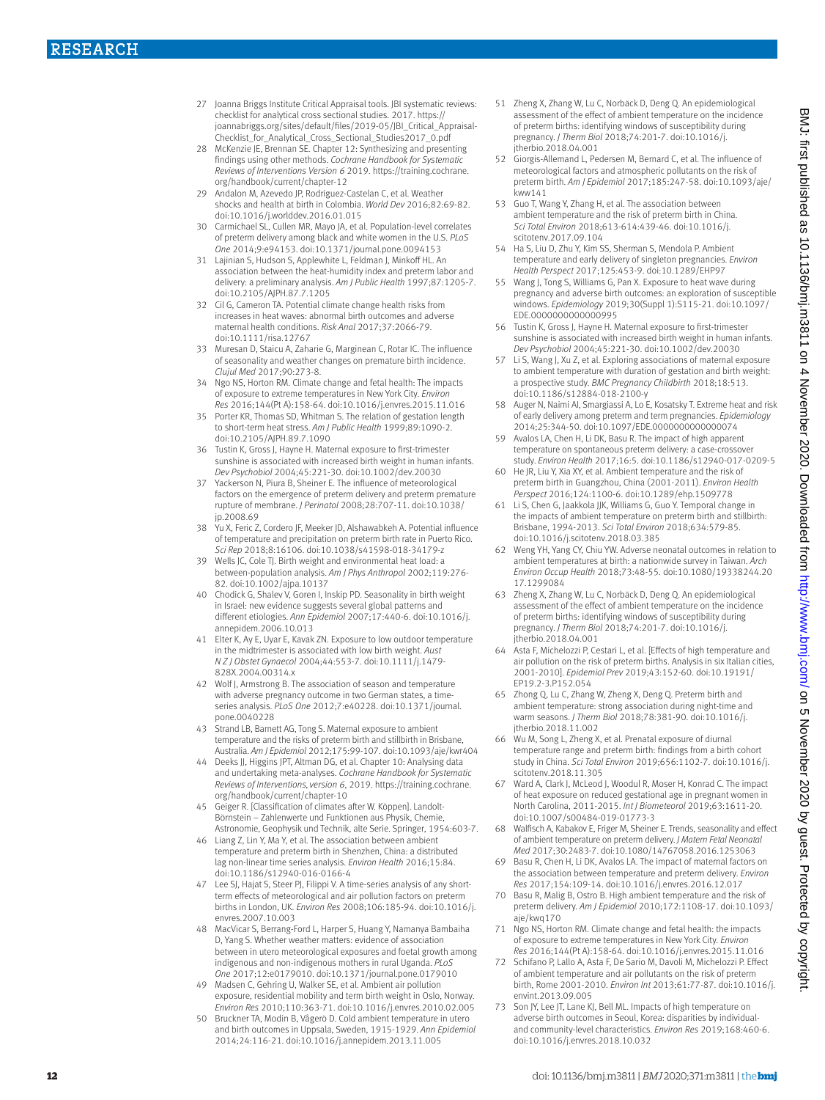- 27 Joanna Briggs Institute Critical Appraisal tools. JBI systematic reviews: checklist for analytical cross sectional studies. 2017. [https://](https://joannabriggs.org/sites/default/files/2019-05/JBI_Critical_Appraisal-Checklist_for_Analytical_Cross_Sectional_Studies2017_0.pdf) [joannabriggs.org/sites/default/files/2019-05/JBI\\_Critical\\_Appraisal-](https://joannabriggs.org/sites/default/files/2019-05/JBI_Critical_Appraisal-Checklist_for_Analytical_Cross_Sectional_Studies2017_0.pdf)[Checklist\\_for\\_Analytical\\_Cross\\_Sectional\\_Studies2017\\_0.pdf](https://joannabriggs.org/sites/default/files/2019-05/JBI_Critical_Appraisal-Checklist_for_Analytical_Cross_Sectional_Studies2017_0.pdf)
- 28 McKenzie JE, Brennan SE. Chapter 12: Synthesizing and presenting findings using other methods. *Cochrane Handbook for Systematic Reviews of Interventions Version 6* 2019. [https://training.cochrane.](https://training.cochrane.org/handbook/current/chapter-12) [org/handbook/current/chapter-12](https://training.cochrane.org/handbook/current/chapter-12)
- 29 Andalon M, Azevedo JP, Rodriguez-Castelan C, et al. Weather shocks and health at birth in Colombia. *World Dev* 2016;82:69-82. doi:10.1016/j.worlddev.2016.01.015
- 30 Carmichael SL, Cullen MR, Mayo JA, et al. Population-level correlates of preterm delivery among black and white women in the U.S. *PLoS One* 2014;9:e94153. doi:10.1371/journal.pone.0094153
- 31 Lajinian S, Hudson S, Applewhite L, Feldman J, Minkoff HL. An association between the heat-humidity index and preterm labor and delivery: a preliminary analysis. *Am J Public Health* 1997;87:1205-7. doi:10.2105/AJPH.87.7.1205
- 32 Cil G, Cameron TA. Potential climate change health risks from increases in heat waves: abnormal birth outcomes and adverse maternal health conditions. *Risk Anal* 2017;37:2066-79. doi:10.1111/risa.12767
- 33 Muresan D, Staicu A, Zaharie G, Marginean C, Rotar IC. The influence of seasonality and weather changes on premature birth incidence. *Clujul Med* 2017;90:273-8.
- 34 Ngo NS, Horton RM. Climate change and fetal health: The impacts of exposure to extreme temperatures in New York City. *Environ Res* 2016;144(Pt A):158-64. doi:10.1016/j.envres.2015.11.016
- 35 Porter KR, Thomas SD, Whitman S. The relation of gestation length to short-term heat stress. *Am J Public Health* 1999;89:1090-2. doi:10.2105/AJPH.89.7.1090
- 36 Tustin K, Gross J, Hayne H. Maternal exposure to first-trimester sunshine is associated with increased birth weight in human infants. *Dev Psychobiol* 2004;45:221-30. doi:10.1002/dev.20030
- 37 Yackerson N, Piura B, Sheiner E. The influence of meteorological factors on the emergence of preterm delivery and preterm premature rupture of membrane. *J Perinatol* 2008;28:707-11. doi:10.1038/ jp.2008.69
- 38 Yu X, Feric Z, Cordero JF, Meeker JD, Alshawabkeh A. Potential influence of temperature and precipitation on preterm birth rate in Puerto Rico. *Sci Rep* 2018;8:16106. doi:10.1038/s41598-018-34179-z
- 39 Wells JC, Cole TJ. Birth weight and environmental heat load: a between-population analysis. *Am J Phys Anthropol* 2002;119:276- 82. doi:10.1002/ajpa.10137
- 40 Chodick G, Shalev V, Goren I, Inskip PD. Seasonality in birth weight in Israel: new evidence suggests several global patterns and different etiologies. *Ann Epidemiol* 2007;17:440-6. doi:10.1016/j. annepidem.2006.10.013
- 41 Elter K, Ay E, Uyar E, Kavak ZN. Exposure to low outdoor temperature in the midtrimester is associated with low birth weight. *Aust N Z J Obstet Gynaecol* 2004;44:553-7. doi:10.1111/j.1479- 828X.2004.00314.x
- 42 Wolf J, Armstrong B. The association of season and temperature with adverse pregnancy outcome in two German states, a timeseries analysis. *PLoS One* 2012;7:e40228. doi:10.1371/journal. pone.0040228
- 43 Strand LB, Barnett AG, Tong S. Maternal exposure to ambient temperature and the risks of preterm birth and stillbirth in Brisbane, Australia. *Am J Epidemiol* 2012;175:99-107. doi:10.1093/aje/kwr404
- 44 Deeks JJ, Higgins JPT, Altman DG, et al. Chapter 10: Analysing data and undertaking meta-analyses. *Cochrane Handbook for Systematic Reviews of Interventions, version 6*, 2019. [https://training.cochrane.](https://training.cochrane.org/handbook/current/chapter-10) [org/handbook/current/chapter-10](https://training.cochrane.org/handbook/current/chapter-10)
- 45 Geiger R. [Classification of climates after W. Köppen]. Landolt-Börnstein – Zahlenwerte und Funktionen aus Physik, Chemie, Astronomie, Geophysik und Technik, alte Serie. Springer, 1954:603-7.
- 46 Liang Z, Lin Y, Ma Y, et al. The association between ambient temperature and preterm birth in Shenzhen, China: a distributed lag non-linear time series analysis. *Environ Health* 2016;15:84. doi:10.1186/s12940-016-0166-4
- 47 Lee SJ, Hajat S, Steer PJ, Filippi V. A time-series analysis of any shortterm effects of meteorological and air pollution factors on preterm births in London, UK. *Environ Res* 2008;106:185-94. doi:10.1016/j. envres.2007.10.003
- 48 MacVicar S, Berrang-Ford L, Harper S, Huang Y, Namanya Bambaiha D, Yang S. Whether weather matters: evidence of association between in utero meteorological exposures and foetal growth among indigenous and non-indigenous mothers in rural Uganda. *PLoS One* 2017;12:e0179010. doi:10.1371/journal.pone.0179010
- 49 Madsen C, Gehring U, Walker SE, et al. Ambient air pollution exposure, residential mobility and term birth weight in Oslo, Norway. *Environ Res* 2010;110:363-71. doi:10.1016/j.envres.2010.02.005
- 50 Bruckner TA, Modin B, Vågerö D. Cold ambient temperature in utero and birth outcomes in Uppsala, Sweden, 1915-1929. *Ann Epidemiol*  2014;24:116-21. doi:10.1016/j.annepidem.2013.11.005
- 51 Zheng X, Zhang W, Lu C, Norbäck D, Deng Q. An epidemiological assessment of the effect of ambient temperature on the incidence of preterm births: identifying windows of susceptibility during pregnancy. *J Therm Biol* 2018;74:201-7. doi:10.1016/j. jtherbio.2018.04.001
- 52 Giorgis-Allemand L, Pedersen M, Bernard C, et al. The influence of meteorological factors and atmospheric pollutants on the risk of preterm birth. *Am J Epidemiol* 2017;185:247-58. doi:10.1093/aje/ kww141
- 53 Guo T, Wang Y, Zhang H, et al. The association between ambient temperature and the risk of preterm birth in China. *Sci Total Environ* 2018;613-614:439-46. doi:10.1016/j. scitotenv.2017.09.104
- 54 Ha S, Liu D, Zhu Y, Kim SS, Sherman S, Mendola P. Ambient temperature and early delivery of singleton pregnancies. *Environ Health Perspect* 2017;125:453-9. doi:10.1289/EHP97
- 55 Wang J, Tong S, Williams G, Pan X. Exposure to heat wave during pregnancy and adverse birth outcomes: an exploration of susceptible windows. *Epidemiology* 2019;30(Suppl 1):S115-21. doi:10.1097/ EDE.0000000000000995
- 56 Tustin K, Gross J, Hayne H. Maternal exposure to first-trimester sunshine is associated with increased birth weight in human infants. *Dev Psychobiol* 2004;45:221-30. doi:10.1002/dev.20030
- 57 Li S, Wang J, Xu Z, et al. Exploring associations of maternal exposure to ambient temperature with duration of gestation and birth weight: a prospective study. *BMC Pregnancy Childbirth* 2018;18:513. doi:10.1186/s12884-018-2100-y
- 58 Auger N, Naimi AI, Smargiassi A, Lo E, Kosatsky T. Extreme heat and risk of early delivery among preterm and term pregnancies. *Epidemiology*  2014;25:344-50. doi:10.1097/EDE.0000000000000074
- 59 Avalos LA, Chen H, Li DK, Basu R. The impact of high apparent temperature on spontaneous preterm delivery: a case-crossover study. *Environ Health* 2017;16:5. doi:10.1186/s12940-017-0209-5
- 60 He JR, Liu Y, Xia XY, et al. Ambient temperature and the risk of preterm birth in Guangzhou, China (2001-2011). *Environ Health Perspect* 2016;124:1100-6. doi:10.1289/ehp.1509778
- 61 Li S, Chen G, Jaakkola JJK, Williams G, Guo Y. Temporal change in the impacts of ambient temperature on preterm birth and stillbirth: Brisbane, 1994-2013. *Sci Total Environ* 2018;634:579-85. doi:10.1016/j.scitotenv.2018.03.385
- 62 Weng YH, Yang CY, Chiu YW. Adverse neonatal outcomes in relation to ambient temperatures at birth: a nationwide survey in Taiwan. *Arch Environ Occup Health* 2018;73:48-55. doi:10.1080/19338244.20 17.1299084
- 63 Zheng X, Zhang W, Lu C, Norbäck D, Deng Q. An epidemiological assessment of the effect of ambient temperature on the incidence of preterm births: identifying windows of susceptibility during pregnancy. *J Therm Biol* 2018;74:201-7. doi:10.1016/j. jtherbio.2018.04.001
- 64 Asta F, Michelozzi P, Cestari L, et al. [Effects of high temperature and air pollution on the risk of preterm births. Analysis in six Italian cities, 2001-2010]. *Epidemiol Prev* 2019;43:152-60. doi:10.19191/ EP19.2-3.P152.054
- 65 Zhong Q, Lu C, Zhang W, Zheng X, Deng Q. Preterm birth and ambient temperature: strong association during night-time and warm seasons. *J Therm Biol* 2018;78:381-90. doi:10.1016/j. jtherbio.2018.11.002
- 66 Wu M, Song L, Zheng X, et al. Prenatal exposure of diurnal temperature range and preterm birth: findings from a birth cohort study in China. *Sci Total Environ* 2019;656:1102-7. doi:10.1016/j. scitotenv.2018.11.305
- Ward A, Clark J, McLeod J, Woodul R, Moser H, Konrad C. The impact of heat exposure on reduced gestational age in pregnant women in North Carolina, 2011-2015. *Int J Biometeorol* 2019;63:1611-20. doi:10.1007/s00484-019-01773-3
- 68 Walfisch A, Kabakov E, Friger M, Sheiner E. Trends, seasonality and effect of ambient temperature on preterm delivery. *J Matern Fetal Neonatal Med* 2017;30:2483-7. doi:10.1080/14767058.2016.1253063
- 69 Basu R, Chen H, Li DK, Avalos LA. The impact of maternal factors on the association between temperature and preterm delivery. *Environ Res* 2017;154:109-14. doi:10.1016/j.envres.2016.12.017
- 70 Basu R, Malig B, Ostro B. High ambient temperature and the risk of preterm delivery. *Am J Epidemiol* 2010;172:1108-17. doi:10.1093/ aje/kwq170
- 71 Ngo NS, Horton RM. Climate change and fetal health: the impacts of exposure to extreme temperatures in New York City. *Environ Res* 2016;144(Pt A):158-64. doi:10.1016/j.envres.2015.11.016
- 72 Schifano P, Lallo A, Asta F, De Sario M, Davoli M, Michelozzi P. Effect of ambient temperature and air pollutants on the risk of preterm birth, Rome 2001-2010. *Environ Int* 2013;61:77-87. doi:10.1016/j. envint.2013.09.005
- 73 Son JY, Lee JT, Lane KJ, Bell ML. Impacts of high temperature on adverse birth outcomes in Seoul, Korea: disparities by individualand community-level characteristics. *Environ Res* 2019;168:460-6. doi:10.1016/j.envres.2018.10.032